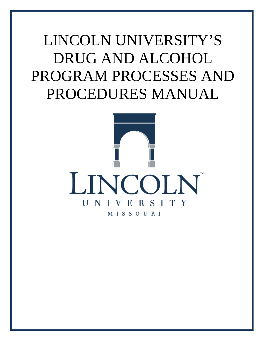# LINCOLN UNIVERSITY'S DRUG AND ALCOHOL PROGRAM PROCESSES AND PROCEDURES MANUAL

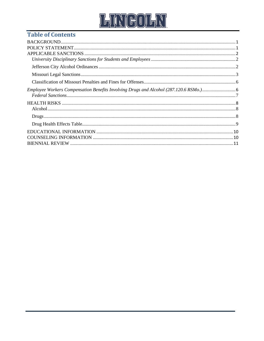# LINGOLN

## **Table of Contents**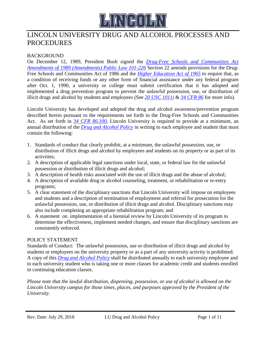

### LINCOLN UNIVERSITY DRUG AND ALCOHOL PROCESSES AND PROCEDURES

#### <span id="page-3-0"></span>**BACKGROUND**

On December 12, 1989, President Bush signed the *[Drug-Free Schools and Communities Act](https://bluetigerportal.lincolnu.edu/c/document_library/get_file?p_l_id=142227&folderId=1695938&name=DLFE-18424.pdf)  [Amendments of 1989 \(Amendments\) Public Law 101-226](https://bluetigerportal.lincolnu.edu/c/document_library/get_file?p_l_id=142227&folderId=1695938&name=DLFE-18424.pdf)* Section 22 amends provisions for the Drug-Free Schools and Communities Act of 1986 and the *[Higher Education Act of 1965](http://www.gpo.gov/fdsys/pkg/PLAW-110publ315/pdf/PLAW-110publ315.pdf)* to require that, as a condition of receiving funds or any other form of financial assistance under any federal program after Oct. 1, 1990, a university or college must submit certification that it has adopted and implemented a drug prevention program to prevent the unlawful possession, use, or distribution of illicit drugs and alcohol by students and employees (See *[20 USC 1011i](http://www.gpo.gov/fdsys/pkg/USCODE-2012-title20/html/USCODE-2012-title20-chap28-subchapI-partB-sec1011i.htm)* & *[34 CFR 86](http://www.ecfr.gov/cgi-bin/text-idx?c=ecfr;sid=3bfcf3e46b194b8def041c00837bd102;rgn=div5;view=text;node=34%3A1.1.1.1.30;idno=34;cc=ecfr)* for more info)*.* 

Lincoln University has developed and adopted the drug and alcohol awareness/prevention program described herein pursuant to the requirements set forth in the Drug-Free Schools and Communities Act. As set forth in *[34 CFR 86.100](http://www.ecfr.gov/cgi-bin/text-idx?c=ecfr&SID=9f2f31eb3173948c7360a353462db9af&rgn=div8&view=text&node=34:1.1.1.1.30.2.134.1&idno=34)*, Lincoln University is required to provide at a minimum, an annual distribution of the *[Drug and Alcohol Policy](https://bluetigerportal.lincolnu.edu/c/document_library/get_file?p_l_id=142227&folderId=2878709&name=DLFE-19303.pdf)* in writing to each employee and student that must contain the following:

- 1. Standards of conduct that clearly prohibit, at a minimum, the unlawful possession, use, or distribution of illicit drugs and alcohol by employees and students on its property or as part of its activities;
- 2. A description of applicable legal sanctions under local, state, or federal law for the unlawful possession or distribution of illicit drugs and alcohol;
- 3. A description of health risks associated with the use of illicit drugs and the abuse of alcohol;
- 4. A description of available drug or alcohol counseling, treatment, or rehabilitation or re-entry programs;
- 5. A clear statement of the disciplinary sanctions that Lincoln University will impose on employees and students and a description of termination of employment and referral for prosecution for the unlawful possession, use, or distribution of illicit drugs and alcohol. Disciplinary sanctions may also include completing an appropriate rehabilitation program; and
- 6. A statement on implementation of a biennial review by Lincoln University of its program to determine the effectiveness, implement needed changes, and ensure that disciplinary sanctions are consistently enforced.

#### <span id="page-3-1"></span>POLICY STATEMENT

Standards of Conduct: The unlawful possession, use or distribution of illicit drugs and alcohol by students or employees on the university property or as a part of any university activity is prohibited. A copy of this *[Drug and Alcohol Policy](https://bluetigerportal.lincolnu.edu/c/document_library/get_file?p_l_id=142227&folderId=2878709&name=DLFE-19303.pdf)* shall be distributed annually to each university employee and to each university student who is taking one or more classes for academic credit and students enrolled in continuing education classes.

*Please note that the lawful distribution, dispensing, possession, or use of alcohol is allowed on the Lincoln University campus for those times, places, and purposes approved by the President of the University.*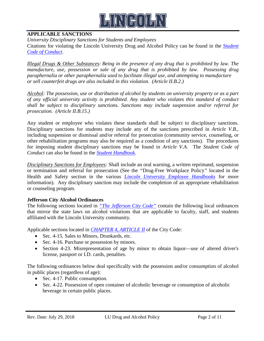

#### <span id="page-4-0"></span>**APPLICABLE SANCTIONS**

<span id="page-4-1"></span>*University Disciplinary Sanctions for Students and Employees*

Citations for violating the Lincoln University Drug and Alcohol Policy can be found in the *[Student](http://www.lincolnu.edu/web/police-department/student-conduct-code)  [Code of Conduct](http://www.lincolnu.edu/web/police-department/student-conduct-code)*.

*Illegal Drugs & Other Substances: Being in the presence of any drug that is prohibited by law. The manufacture, use, possession or sale of any drug that is prohibited by law. Possessing drug paraphernalia or other paraphernalia used to facilitate illegal use, and attempting to manufacture or sell counterfeit drugs are also included in this violation. (Article II.B.2.)*

*Alcohol: The possession, use or distribution of alcohol by students on university property or as a part of any official university activity is prohibited. Any student who violates this standard of conduct shall be subject to disciplinary sanctions. Sanctions may include suspension and/or referral for prosecution. (Article II.B.15.)*

Any student or employee who violates these standards shall be subject to disciplinary sanctions. Disciplinary sanctions for students may include any of the sanctions prescribed in *Article V.B.,*  including suspension or dismissal and/or referral for prosecution (community service, counseling, or other rehabilitation programs may also be required as a condition of any sanctions). The procedures for imposing student disciplinary sanctions may be found in *Article V.A.* The *Student Code of Conduct* can also be found in the *[Student Handbook](https://bluetigerportal.lincolnu.edu/c/document_library/get_file?p_l_id=13332&folderId=17070&name=DLFE-13519.pdf)*.

*Disciplinary Sanctions for Employees:* Shall include an oral warning, a written reprimand, suspension or termination and referral for prosecution (See the *"*Drug-Free Workplace Policy*"* located in the Health and Safety section in the various *[Lincoln University Employee Handbooks](https://bluetigerportal.lincolnu.edu/web/human-resource-services/handbooks)* for more information). Any disciplinary sanction may include the completion of an appropriate rehabilitation or counseling program.

#### <span id="page-4-2"></span>**Jefferson City Alcohol Ordinances**

The following sections located in *["The Jefferson City Code"](http://www.jeffcitymo.org/clerk/citycode.html)* contain the following local ordinances that mirror the state laws on alcohol violations that are applicable to faculty, staff, and students affiliated with the Lincoln University community.

Applicable sections located in *[CHAPTER 4, ARTICLE II](http://documents.jeffcitymo.org/WebLink8/0/doc/336985/Page1.aspx)* of the City Code:

- Sec. 4-15. Sales to Minors, Drunkards, etc.
- Sec. 4-16. Purchase or possession by minors.
- Section 4-23. Misrepresentation of age by minor to obtain liquor—use of altered driver's license, passport or I.D. cards, penalties.

The following ordinances below deal specifically with the possession and/or consumption of alcohol in public places (regardless of age):

- Sec. 4-17. Public consumption.
- Sec. 4-22. Possession of open container of alcoholic beverage or consumption of alcoholic beverage in certain public places.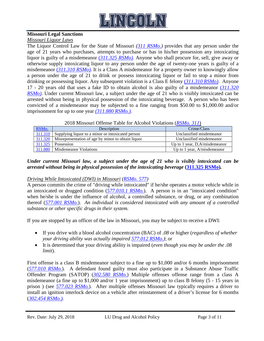

#### <span id="page-5-0"></span>**Missouri Legal Sanctions**

#### *Missouri Liquor Laws*

The Liquor Control Law for the State of Missouri *[\(311 RSMo.\)](http://revisor.mo.gov/main/PageSelect.aspx?chapter=311)* provides that any person under the age of 21 years who purchases, attempts to purchase or has in his/her possession any intoxicating liquor is guilty of a misdemeanor (*[311.325 RSMo\).](http://revisor.mo.gov/main/PageSelect.aspx?section=311.325&bid=16626&hl=)* Anyone who shall procure for, sell, give away or otherwise supply intoxicating liquor to any person under the age of twenty-one years is guilty of a misdemeanor (*[311.310 RSMo\)](http://revisor.mo.gov/main/PageSelect.aspx?section=311.310&bid=16623&hl=)*. It is a Class A misdemeanor for a property owner to knowingly allow a person under the age of 21 to drink or possess intoxicating liquor or fail to stop a minor from drinking or possessing liquor. Any subsequent violation is a Class E felony (*[311.310 RSMo\)](http://revisor.mo.gov/main/PageSelect.aspx?section=311.310&bid=16623&hl=)*. Anyone 17 - 20 years old that uses a fake ID to obtain alcohol is also guilty of a misdemeanor (*[311.320](http://revisor.mo.gov/main/PageSelect.aspx?section=311.320&bid=16625&hl=)  [RSMo\)](http://revisor.mo.gov/main/PageSelect.aspx?section=311.320&bid=16625&hl=)*. Under current Missouri law, a subject under the age of 21 who is visibly intoxicated can be arrested without being in physical possession of the intoxicating beverage. A person who has been convicted of a misdemeanor may be subjected to a fine ranging from \$50.00 to \$1,000.00 and/or imprisonment for up to one year *[\(311.880 RSMo.\)](http://revisor.mo.gov/main/PageSelect.aspx?section=311.880&bid=16709&hl=)*.

#### 2018 Missouri Offense Table for Alcohol Violations (*[RSMo. 311](http://revisor.mo.gov/main/PageSelect.aspx?chapter=311)*)

| RSMo.   | Description                                        | Crime/Class                       |
|---------|----------------------------------------------------|-----------------------------------|
| 311.310 | Supplying liquor to a minor or intoxicated person  | Unclassified misdemeanor          |
| 311.320 | Misrepresentation of age by minor to obtain liquor | Unclassified misdemeanor          |
| 311.325 | Possession                                         | Up to 1 year, $D$ , A/misdemeanor |
| 311.880 | Misdemeanor Violations                             | Up to 1 year, $A/mis$ demeanor    |

*Under current Missouri law, a subject under the age of 21 who is visibly intoxicated can be arrested without being in physical possession of the intoxicating beverage* **[\(311.325 RSMo\)](http://revisor.mo.gov/main/PageSelect.aspx?section=311.325&bid=16626&hl=)***.*

#### *Driving While Intoxicated (DWI) in Missouri [\(RSMo. 577\)](http://revisor.mo.gov/main/PageSelect.aspx?chapter=577)*

A person commits the crime of "driving while intoxicated" if he/she operates a motor vehicle while in an intoxicated or drugged condition (*[577.010.1 RSMo.](http://revisor.mo.gov/main/PageSelect.aspx?section=577.010&bid=33822&hl=)*). A person is in an "intoxicated condition" when he/she is under the influence of alcohol, a controlled substance, or drug, or any combination thereof (*[577.001 RSMo.](http://revisor.mo.gov/main/PageSelect.aspx?section=577.001&bid=33821&hl=)*). *An individual is considered intoxicated with any amount of a controlled substance or other specific drugs in their system.* 

If you are stopped by an officer of the law in Missouri, you may be subject to receive a DWI:

- If you drive with a blood alcohol concentration (BAC) of *.08* or higher (*regardless of whether your driving ability was actually impaired [577.012 RSMo.\)](http://revisor.mo.gov/main/PageSelect.aspx?section=577.012&bid=33823&hl=)*; or
- It is determined that your driving ability is impaired (*even though you may be under the .08 limit*).

First offense is a class B misdemeanor subject to a fine up to \$1,000 and/or 6 months imprisonment (*[577.010 RSMo.](http://revisor.mo.gov/main/PageSelect.aspx?section=577.010&bid=33822&hl=)*). A defendant found guilty must also participate in a Substance Abuse Traffic Offender Program (SATOP) (*[302.580 RSMo.](http://revisor.mo.gov/main/PageSelect.aspx?section=302.580&bid=16096&hl=)*) Multiple offenses offense range from a class A misdemeanor (a fine up to \$1,000 and/or 1 year imprisonment) up to class B felony (5 - 15 years in prison ) (see *[577.023 RSMo.](http://revisor.mo.gov/main/PageSelect.aspx?section=577.023&bid=29952&hl=)*). After multiple offenses Missouri law typically requires a driver to install an ignition interlock device on a vehicle after reinstatement of a driver's license for 6 months (*[302.454 RSMo.\)](http://revisor.mo.gov/main/PageSelect.aspx?section=302.454&bid=16074&hl=).*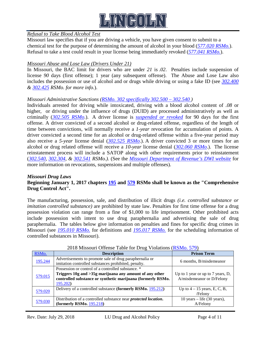

#### *Refusal to Take Blood Alcohol Test*

Missouri law specifies that if you are driving a vehicle, you have given consent to submit to a chemical test for the purpose of determining the amount of alcohol in your blood (*[577.020 RSMo.](http://revisor.mo.gov/main/PageSelect.aspx?section=577.020&bid=29948&hl=)*). Refusal to take a test could result in your license being immediately revoked (*[577.041 RSMo.](http://revisor.mo.gov/main/PageSelect.aspx?section=577.041&bid=29966&hl=)*).

#### *Missouri Abuse and Lose Law (Drivers Under 21)*

In Missouri, the BAC limit for drivers who are under *21* is *.02*. Penalties include suspension of license *90* days (first offense); 1 year (any subsequent offense). The Abuse and Lose Law also includes the possession or use of alcohol and or drugs while driving or using a fake ID (see *[302.400](http://revisor.mo.gov/main/PageSelect.aspx?section=302.400&bid=16065&hl=) & [302.425](http://revisor.mo.gov/main/PageSelect.aspx?section=302.425&bid=16070&hl=) RSMo. for more info.*).

*Missouri Administrative Sanctions [\(RSMo. 302 specifically 302.500 –](http://revisor.mo.gov/main/OneChapter.aspx?chapter=302) 302.540 )*

Individuals arrested for driving while intoxicated, driving with a blood alcohol content of *.08* or higher, or driving under the influence of drugs (DUID) are processed administratively as well as criminally (*[302.505 RSMo](http://revisor.mo.gov/main/PageSelect.aspx?section=302.505&bid=16081&hl=)*.). A driver license is *[suspended or revoked](http://www.moga.mo.gov/mostatutes/stathtml/30200005001.html)* for 90 days for the first offense. A driver convicted of a second alcohol or drug-related offense, regardless of the length of time between convictions, will normally receive a *1-year* revocation for accumulation of points. A driver convicted a second time for an alcohol or drug-related offense within a five-year period may also receive a *5-year* license denial (*[302.525 RSMo](http://revisor.mo.gov/main/PageSelect.aspx?section=302.525&bid=16085&hl=)*.). A driver convicted 3 or more times for an alcohol or drug related offense will receive a *10-year* license denial (*[302.060 RSMo](http://revisor.mo.gov/main/PageSelect.aspx?section=302.060&bid=15990&hl=)*.). The license reinstatement process will include a SATOP along with other requirements prior to reinstatement (*[302.540,](http://revisor.mo.gov/main/PageSelect.aspx?section=302.540&bid=16090&hl=) [302.304,](http://revisor.mo.gov/main/PageSelect.aspx?section=302.304&bid=16050&hl=) & [302.541](http://revisor.mo.gov/main/PageSelect.aspx?section=302.541&bid=16092&hl=) RSMo.)*. (See the *[Missouri Department of Revenue's DWI website](http://dor.mo.gov/drivers/dwiinfo.php)* for more information on revocations, suspensions and multiple offenses).

#### *Missouri Drug Laws* **Beginning January 1, 2017 chapters [195](http://revisor.mo.gov/main/PageSelect.aspx?chapter=195) and [579](http://revisor.mo.gov/main/PageSelect.aspx?chapter=579) RSMo shall be known as the "Comprehensive Drug Control Act".**

The manufacturing, possession, sale, and distribution of illicit drugs *(i.e. controlled substance or imitation controlled substance)* are prohibited by state law. Penalties for first time offense for a drug possession violation can range from a fine of \$1,000 to life imprisonment. Other prohibited acts include possession with intent to use drug paraphernalia and advertising the sale of drug paraphernalia. The tables below give information on penalties and fines for specific drug crimes in Missouri (see *[195.010 RSMo.](http://revisor.mo.gov/main/PageSelect.aspx?section=195.010&bid=10012&hl=)* for definitions and *[195.017 RSMo.](http://revisor.mo.gov/main/PageSelect.aspx?section=195.017&bid=10018&hl=)* for the scheduling information of controlled substances in Missouri).

| $\frac{1}{2}$ of $\frac{1}{2}$ $\frac{1}{2}$ $\frac{1}{2}$ $\frac{1}{2}$ $\frac{1}{2}$ $\frac{1}{2}$ $\frac{1}{2}$ $\frac{1}{2}$ $\frac{1}{2}$ $\frac{1}{2}$ $\frac{1}{2}$ $\frac{1}{2}$ $\frac{1}{2}$ $\frac{1}{2}$ $\frac{1}{2}$ |                                                                                                                                                                                          |                                                                   |  |  |  |
|------------------------------------------------------------------------------------------------------------------------------------------------------------------------------------------------------------------------------------|------------------------------------------------------------------------------------------------------------------------------------------------------------------------------------------|-------------------------------------------------------------------|--|--|--|
| RSMo.                                                                                                                                                                                                                              | <b>Description</b>                                                                                                                                                                       | <b>Prison Term</b>                                                |  |  |  |
| 195.244                                                                                                                                                                                                                            | Advertisements to promote sale of drug paraphernalia or<br>imitation controlled substances prohibited, penalty.                                                                          | 6 months, B/misdemeanor                                           |  |  |  |
| 579.015                                                                                                                                                                                                                            | Possession or control of a controlled substance. *<br>Triggers 10g and >35g marijuana any amount of any other<br>controlled substance or synthetic marijuana (formerly RSMo.<br>195.202) | Up to 1 year or up to 7 years, $D$ ,<br>A/misdemeanor or D/Felony |  |  |  |
| 579.020                                                                                                                                                                                                                            | Delivery of a controlled substance (formerly RSMo. 195.212)                                                                                                                              | Up to $4-15$ years, E, C, B,<br>/Felony                           |  |  |  |
| 579.030                                                                                                                                                                                                                            | Distribution of a controlled substance near <i>protected location</i> .<br>(formerly RSMo. $195.218$ )                                                                                   | 10 years $-$ life (30 years),<br>A/Felony                         |  |  |  |

2018 Missouri Offense Table for Drug Violations [\(RSMo. 579\)](http://revisor.mo.gov/main/OneChapter.aspx?chapter=579)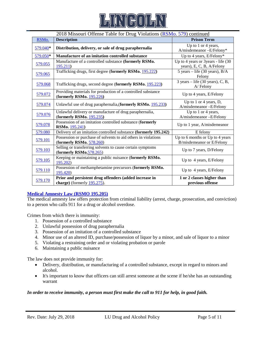

| 2018 Missouri Offense Table for Drug Violations (RSMo. 579) continued |                                                                                            |                                                                 |  |  |  |
|-----------------------------------------------------------------------|--------------------------------------------------------------------------------------------|-----------------------------------------------------------------|--|--|--|
| RSMo.                                                                 | <b>Description</b>                                                                         | <b>Prison Term</b>                                              |  |  |  |
| 579.040*                                                              | Distribution, delivery, or sale of drug paraphernalia                                      | Up to 1 or 4 years,<br>A/misdemeanor-E/Felony*                  |  |  |  |
| $579.050*$                                                            | Manufacture of an imitation controlled substance                                           | Up to 4 years, E/Felony*                                        |  |  |  |
| 579.055                                                               | Manufacture of a controlled substance (formerly RSMo.<br>195.211)                          | Up to 4 years or 3years - life (30<br>years), E, C, B, A/Felony |  |  |  |
| 579.065                                                               | Trafficking drugs, first degree (formerly RSMo. 195.222)                                   | 5 years – life (30 years), $B/A$<br>Felony                      |  |  |  |
| 579.068                                                               | Trafficking drugs, second degree (formerly RSMo. 195.223)                                  | $3$ years - life (30 years), C, B,<br>A/Felony                  |  |  |  |
| 579.072                                                               | Providing materials for production of a controlled substance<br>(formerly RSMo. 195.226)   | Up to 4 years, E/Felony                                         |  |  |  |
| 579.074                                                               | Unlawful use of drug paraphernalia, (formerly RSMo. 195.233)                               | Up to 1 or 4 years, D,<br>A/misdemeanor-E/Felony                |  |  |  |
| 579.076                                                               | Unlawful delivery or manufacture of drug paraphernalia,<br>(formerly RSMo. 195.235)        | Up to 1 or 4 years,<br>A/misdemeanor-E/Felony                   |  |  |  |
| 579.078                                                               | Possession of an imitation controlled substance (formerly<br>RSMo. 195.241)                | Up to 1 year, A/misdemeanor                                     |  |  |  |
| 579.080                                                               | Delivery of an imitation controlled substance (formerly 195.242)                           | E felony                                                        |  |  |  |
| 579.101                                                               | Possession or purchase of solvents to aid others in violations<br>(formerly RSMo. 578.260) | Up to 6 months or Up to 4 years<br>B/misdemeanor or E/Felony    |  |  |  |
| 579.103                                                               | Selling or transferring solvents to cause certain symptoms<br>(formerly RSMo.578.265)      | Up to 7 years, D/Felony                                         |  |  |  |
| 579.105                                                               | Keeping or maintaining a public nuisance (formerly RSMo.<br>195.202)                       | Up to 4 years, E/Felony                                         |  |  |  |
| 579.110                                                               | Possession of methamphetamine precursors (formerly RSMo.<br>195.420)                       | Up to 4 years, E/Felony                                         |  |  |  |
| 579.170                                                               | Prior and persistent drug offenders (added increase in<br>charge) (formerly $195.275$ ).   | 1 or 2 classes higher than<br>previous offense                  |  |  |  |

#### **[Medical Amnesty Law \(RSMO 195.205\)](http://revisor.mo.gov/main/OneSection.aspx?section=195.205&bid=34820&hl=)**

The medical amnesty law offers protection from criminal liability (arrest, charge, prosecution, and conviction) to a person who calls 911 for a drug or alcohol overdose.

Crimes from which there is immunity:

- 1. Possession of a controlled substance
- 2. Unlawful possession of drug paraphernalia
- 3. Possession of an imitation of a controlled substance
- 4. Minor use of an altered ID, purchase/possession of liquor by a minor, and sale of liquor to a minor
- 5. Violating a restraining order and or violating probation or parole
- 6. Maintaining a public nuisance

The law does not provide immunity for:

- Delivery, distribution, or manufacturing of a controlled substance, except in regard to minors and alcohol.
- It's important to know that officers can still arrest someone at the scene if he/she has an outstanding warrant

#### *In order to receive immunity, a person must first make the call to 911 for help, in good faith.*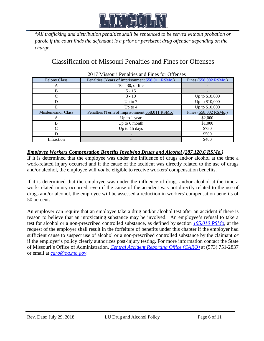

*\*All trafficking and distribution penalties shall be sentenced to be served without probation or parole if the court finds the defendant is a prior or persistent drug offender depending on the charge.*

### Classification of Missouri Penalties and Fines for Offenses

<span id="page-8-0"></span>

| <b>Felony Class</b>      | Penalties (Years of imprisonment 558.011 RSMo.) |                       |
|--------------------------|-------------------------------------------------|-----------------------|
| A                        | $10 - 30$ , or life                             |                       |
| B                        | $5 - 15$                                        |                       |
|                          | $3 - 10$                                        | Up to \$10,000        |
| D                        | Up to $7$                                       | Up to \$10,000        |
| E                        | Up to $4$                                       | Up to \$10,000        |
| <b>Misdemeanor Class</b> | Penalties (Term of imprisonment 558.011 RSMo.)  | Fines (558.002 RSMo.) |
| А                        | Up to 1 year                                    | \$2,000               |
| B                        | Up to 6 month                                   | \$1.000               |
|                          | Up to 15 days                                   | \$750                 |
| D                        |                                                 | \$500                 |
| Infraction               | -                                               | \$400                 |

#### 2017 Missouri Penalties and Fines for Offenses

#### <span id="page-8-1"></span>*Employee Workers Compensation Benefits Involving Drugs and Alcohol [\(287.120.6 RSMo.\)](http://revisor.mo.gov/main/PageSelect.aspx?section=287.120&bid=15043&hl=)*

If it is determined that the employee was under the influence of drugs and/or alcohol at the time a work-related injury occurred and if the cause of the accident was directly related to the use of drugs and/or alcohol, the employee will *not* be eligible to receive workers' compensation benefits.

If it is determined that the employee was under the influence of drugs and/or alcohol at the time a work-related injury occurred, even if the cause of the accident was not directly related to the use of drugs and/or alcohol, the employee will be assessed a reduction in workers' compensation benefits of 50 percent.

An employer can require that an employee take a drug and/or alcohol test after an accident if there is reason to believe that an intoxicating substance may be involved. An employee's refusal to take a test for alcohol or a non-prescribed controlled substance, as defined by section *[195.010 RSMo](http://revisor.mo.gov/main/PageSelect.aspx?section=195.010&bid=10012&hl=)*, at the request of the employer shall result in the forfeiture of benefits under this chapter if the employer had sufficient cause to suspect use of alcohol or a non-prescribed controlled substance by the claimant *or*  if the employer's policy clearly authorizes post-injury testing. For more information contact the State of Missouri's Office of Administration, *[Central Accident Reporting Office \(CARO\)](http://content.oa.mo.gov/general-services/risk-management/workers-compensation-caro)* at (573) 751-2837 or email at *[caro@oa.mo.gov](mailto:caro@oa.mo.gov)*.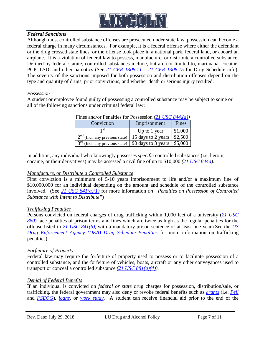

#### <span id="page-9-0"></span>*Federal Sanctions*

Although most controlled substance offenses are prosecuted under state law, possession can become a federal charge in many circumstances. For example, it is a federal offense where either the defendant or the drug crossed state lines, or the offense took place in a national park, federal land, or aboard an airplane. It is a violation of federal law to possess, manufacture, or distribute a controlled substance. Defined by federal statute, controlled substances include, but are not limited to, marijuana, cocaine, PCP, LSD, and other narcotics (See *[21 CFR 1308.11 –](http://www.ecfr.gov/cgi-bin/text-idx?SID=4f7d6a1690d08fcc44749736a48f587a&node=21:9.0.1.1.9.0.26&rgn=div7) 21 CFR 1308.15* for Drug Schedule info). The severity of the sanctions imposed for both possession and distribution offenses depend on the type and quantity of drugs, prior convictions, and whether death or serious injury resulted.

#### *Possession*

A student or employee found guilty of possessing a controlled substance may be subject to some or all of the following sanctions under criminal federal law:

| I HIGS and/of I channel for I obsession (21 Obc $0.77$ )( $u$ )) |                    |         |  |  |
|------------------------------------------------------------------|--------------------|---------|--|--|
| Conviction                                                       | Imprisonment       | Fines   |  |  |
| 1 SU                                                             | Up to 1 year       | \$1,000 |  |  |
| $2nd$ (Incl. any previous state)                                 | 15 days to 2 years | \$2,500 |  |  |
| $3rd$ (Incl. any previous state)                                 | 90 days to 3 years | \$5,000 |  |  |

### Fines and/or Penalties for Possession *[\(21 USC 844.\(a\)\)](http://www.gpo.gov/fdsys/pkg/USCODE-2012-title21/html/USCODE-2012-title21-chap13-subchapI-partD-sec844.htm)*

In addition, any individual who knowingly possesses *specific* controlled substances (i.e. heroin, cocaine, or their derivatives) may be assessed a civil fine of up to \$10,000 *[\(21 USC 844a\)](http://www.gpo.gov/fdsys/pkg/USCODE-2012-title21/html/USCODE-2012-title21-chap13-subchapI-partD-sec844a.htm)*.

#### *Manufacture, or Distribute a Controlled Substance*

First conviction is a minimum of 5-10 years imprisonment to life and/or a maximum fine of \$10,000,000 for an individual depending on the amount and schedule of the controlled substance involved. (See *[21 USC 841\(a\)\(1\)](http://www.gpo.gov/fdsys/pkg/USCODE-2012-title21/html/USCODE-2012-title21-chap13-subchapI-partD-sec841.htm)* for more information *on "Penalties on Possession of Controlled Substance with Intent to Distribute"*)

#### *Trafficking Penalties*

Persons convicted on federal charges of drug trafficking within 1,000 feet of a university (*[21 USC](http://www.gpo.gov/fdsys/pkg/USCODE-2012-title21/html/USCODE-2012-title21-chap13-subchapI-partD-sec860.htm) [860](http://www.gpo.gov/fdsys/pkg/USCODE-2012-title21/html/USCODE-2012-title21-chap13-subchapI-partD-sec860.htm)*) face penalties of prison terms and fines which are twice as high as the regular penalties for the offense listed in *[21 USC 841\(b\)](http://www.gpo.gov/fdsys/pkg/USCODE-2012-title21/html/USCODE-2012-title21-chap13-subchapI-partD-sec841.htm)*, with a mandatory prison sentence of at least one year (See the *[US](http://www.justice.gov/dea/druginfo/ftp3.shtml)  [Drug Enforcement Agency \(DEA\) Drug Schedule Penalties](http://www.justice.gov/dea/druginfo/ftp3.shtml)* for more information on trafficking penalties).

#### *Forfeiture of Property*

Federal law may require the forfeiture of property used to possess or to facilitate possession of a controlled substance, and the forfeiture of vehicles, boats, aircraft or any other conveyances used to transport or conceal a controlled substance *[\(21 USC 881\(a\)\(4\)\)](http://www.gpo.gov/fdsys/pkg/USCODE-2012-title21/html/USCODE-2012-title21-chap13-subchapI-partE-sec881.htm)*.

#### *Denial of Federal Benefits*

If an individual is convicted on *federal or state* drug charges for possession, distribution/sale, or trafficking, the federal government may also deny or revoke federal benefits such as *[grants](http://studentaid.ed.gov/sites/default/files/federal-grant-programs.pdf)* (i.e. *[Pell](http://studentaid.ed.gov/types/grants-scholarships/pell)* and *[FSEOG](http://studentaid.ed.gov/types/grants-scholarships/fseog)*), *[loans](http://studentaid.ed.gov/types/loans)*, or *[work study](http://studentaid.ed.gov/types/work-study)*. A student can receive financial aid prior to the end of the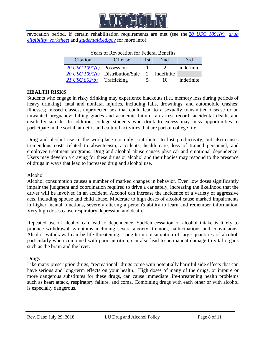

revocation period, if certain rehabilitation requirements are met (see the *[20 USC 1091\(r\)](http://www.gpo.gov/fdsys/pkg/USCODE-2012-title20/html/USCODE-2012-title20-chap28-subchapIV-partF-sec1091.htm)*, *[drug](http://ifap.ed.gov/eannouncements/attachments/StudentAidEligibilityWorksheetEng1314.pdf)  [eligibility worksheet](http://ifap.ed.gov/eannouncements/attachments/StudentAidEligibilityWorksheetEng1314.pdf)* and *[studentaid.ed.gov](http://studentaid.ed.gov/eligibility/criminal-convictions#probation-parole)* for more info).

| Citation                    | Offense           | 1st | 2nd        | 3rd        |
|-----------------------------|-------------------|-----|------------|------------|
| 20 USC $1091(r)$ Possession |                   |     |            | indefinite |
| $20$ USC $1091(r)$          | Distribution/Sale |     | indefinite |            |
| 21 USC 862(b)               | Trafficking       |     |            | indefinite |

#### Years of Revocation for Federal Benefits

#### <span id="page-10-0"></span>**HEALTH RISKS**

Students who engage in risky drinking may experience blackouts (i.e., memory loss during periods of heavy drinking); fatal and nonfatal injuries, including falls, drownings, and automobile crashes; illnesses; missed classes; unprotected sex that could lead to a sexually transmitted disease or an unwanted pregnancy; falling grades and academic failure; an arrest record; accidental death; and death by suicide. In addition, college students who drink to excess may miss opportunities to participate in the social, athletic, and cultural activities that are part of college life.

Drug and alcohol use in the workplace not only contributes to lost productivity, but also causes tremendous costs related to absenteeism, accidents, health care, loss of trained personnel, and employee treatment programs. Drug and alcohol abuse causes physical and emotional dependence. Users may develop a craving for these drugs or alcohol and their bodies may respond to the presence of drugs in ways that lead to increased drug and alcohol use.

#### <span id="page-10-1"></span>Alcohol

Alcohol consumption causes a number of marked changes in behavior. Even low doses significantly impair the judgment and coordination required to drive a car safely, increasing the likelihood that the driver will be involved in an accident. Alcohol can increase the incidence of a variety of aggressive acts, including spouse and child abuse. Moderate to high doses of alcohol cause marked impairments in higher mental functions, severely altering a person's ability to learn and remember information. Very high doses cause respiratory depression and death.

Repeated use of alcohol can lead to dependence. Sudden cessation of alcohol intake is likely to produce withdrawal symptoms including severe anxiety, tremors, hallucinations and convulsions. Alcohol withdrawal can be life-threatening. Long-term consumption of large quantities of alcohol, particularly when combined with poor nutrition, can also lead to permanent damage to vital organs such as the brain and the liver.

#### <span id="page-10-2"></span>Drugs

Like many prescription drugs, "recreational" drugs come with potentially harmful side effects that can have serious and long-term effects on your health. High doses of many of the drugs, or impure or more dangerous substitutes for these drugs, can cause immediate life-threatening health problems such as heart attack, respiratory failure, and coma. Combining drugs with each other or with alcohol is especially dangerous.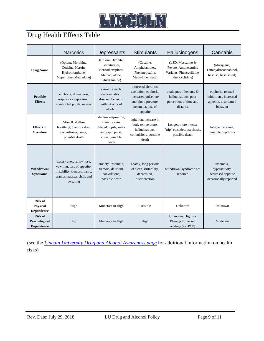## <u>LINGOLN</u>

## <span id="page-11-0"></span>Drug Health Effects Table

|                                                        | <b>Narcotics</b>                                                                                                                  | Depressants                                                                                                 | <b>Stimulants</b>                                                                                                             | Hallucinogens                                                                            | Cannabis                                                                         |
|--------------------------------------------------------|-----------------------------------------------------------------------------------------------------------------------------------|-------------------------------------------------------------------------------------------------------------|-------------------------------------------------------------------------------------------------------------------------------|------------------------------------------------------------------------------------------|----------------------------------------------------------------------------------|
| <b>Drug Name</b>                                       | (Opium, Morphine,<br>Codeine, Heroin,<br>Hydromorphone,<br>Meperidine, Methadone)                                                 | (Chloral Hydrate,<br>Barbiturates,<br>Benzodiazepines,<br>Methaqualone,<br>Glutethimide)                    | (Cocaine,<br>Amphetamines,<br>Phenmetrazine,<br>Methylphenidate)                                                              | (LSD, Mescaline &<br>Peyote, Amphetamine<br>Variants, Phencyclidine,<br>Phencyclidine)   | (Marijuana,<br>Tetrahydrocannabinol,<br>hashish, hashish oil)                    |
| <b>Possible</b><br><b>Effects</b>                      | euphoria, drowsiness,<br>respiratory depression,<br>constricted pupils, nausea                                                    | slurred speech,<br>disorientation,<br>drunken behavior<br>without odor of<br>alcohol                        | increased alertness.<br>excitation, euphoria,<br>increased pulse rate<br>and blood pressure,<br>insomnia, loss of<br>appetite | analogues, illusions, $\&$<br>hallucinations, poor<br>perception of time and<br>distance | euphoria, relaxed<br>inhibitions, increased<br>appetite, disoriented<br>behavior |
| <b>Effects of</b><br>Overdose                          | Slow & shallow<br>breathing, clammy skin,<br>convulsions, coma,<br>possible death                                                 | shallow respiration,<br>clammy skin,<br>dilated pupils, weak<br>and rapid pulse,<br>coma, possible<br>death | agitation, increase in<br>body temperature,<br>hallucinations,<br>convulsions, possible<br>death                              | Longer, more intense<br>"trip" episodes, psychosis,<br>possible death                    | fatigue, paranoia,<br>possible psychosis                                         |
| <b>Withdrawal</b><br><b>Syndrome</b>                   | watery eyes, runny nose,<br>yawning, loss of appetite,<br>irritability, tremors, panic,<br>cramps, nausea, chills and<br>sweating | anxiety, insomnia,<br>tremors, delirium,<br>convulsions,<br>possible death                                  | apathy, long periods<br>of sleep, irritability,<br>depression,<br>disorientation                                              | withdrawal syndrome not<br>reported                                                      | insomnia,<br>hyperactivity,<br>decreased appetite<br>occasionally reported       |
| <b>Risk of</b><br><b>Physical</b><br><b>Dependence</b> | High                                                                                                                              | Moderate to High                                                                                            | Possible                                                                                                                      | Unknown                                                                                  | Unknown                                                                          |
| <b>Risk of</b><br>Psychological<br><b>Dependence</b>   | High                                                                                                                              | Moderate to High                                                                                            | High                                                                                                                          | Unknown, High for<br>Phencyclidine and<br>analogs (i.e. PCP)                             | Moderate                                                                         |

(see the *[Lincoln University Drug and Alcohol Awareness](https://bluetigerportal.lincolnu.edu/web/police-department/alcohol-and-drug-awareness) page* for additional information on health risks)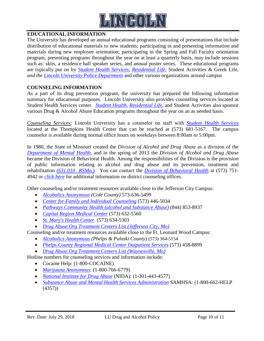

#### <span id="page-12-0"></span>**EDUCATIONAL INFORMATION**

The University has developed an annual educational programs consisting of presentations that include distribution of educational materials to new students; participating in and presenting information and materials during new employee orientation; participating in the Spring and Fall Faculty orientation program; presenting programs throughout the year on at least a quarterly basis, may include sessions such as: skits, a residence hall speaker series, and annual poster series. These educational programs are typically put on by *[Student Health Services,](http://www.lincolnu.edu/web/thompkins-health-center/thompkins-health-center) [Residential Life,](http://www.lincolnu.edu/web/residential-life/residence-life-staff)* Student Activities & Greek Life*, and the [Lincoln University Police Department](https://bluetigerportal.lincolnu.edu/web/police-department/police-department)* and other various organizations around campus

#### <span id="page-12-1"></span>**COUNSELING INFORMATION**

As a part of its drug prevention program, the university has prepared the following information summary for educational purposes. Lincoln University also provides counseling services located at Student Health Services center. *[Student Health,](http://www.lincolnu.edu/web/thompkins-health-center/thompkins-health-center) [Residential Life](http://www.lincolnu.edu/web/residential-life/residential-life)*, and [Student Activities](http://www.lincolnu.edu/web/student-activities/student-activities) also sponsor various Drug & Alcohol Abuse Education programs throughout the year on an as needed basis.

*Counseling Services:* Lincoln University has a counselor on staff with *[Student Health Services](http://www.lincolnu.edu/web/thompkins-health-center/thompkins-health-center)* located at the Thompkins Health Center that can be reached at (573) 681-5167. The campus counselor is available during normal office hours on weekdays between 8:00am to 5:00pm.

In 1980, the State of Missouri created the *Division of Alcohol and Drug Abuse* as a division of the *[Department of Mental Health](http://dmh.mo.gov/)*, and in the spring of 2013 the *Division of Alcohol and Drug Abuse* became the Division of Behavioral Health. Among the responsibilities of the Division is the provision of public information relating to alcohol and drug abuse and its prevention, treatment and rehabilitation *[\(631.010 RSMo.\)](http://revisor.mo.gov/main/PageSelect.aspx?section=630.010&bid=30735&hl=)*. You can contact the *[Division of Behavioral Health](http://dmh.mo.gov/ada/)* at (573) 751- 4942 or *[click here](http://dmh.mo.gov/contact/)* for additional information on district counseling offices.

Other counseling and/or treatment resources available close to the Jefferson City Campus:

- *[Alcoholics Anonymous](http://aadistrict11missouri.org/) (Cole County)* 573-636-5499
- *[Center for Family and Individual Counseling](http://www.cfictherapy.com/)* (573) 446-5034
- *[Pathways Community Health \(alcohol and Substance Abuse\)](http://compasshealthnetwork.org/about-us/pathways-community-health/)* (844) 853-8937
- *[Capital Region Medical Center](http://www.crmc.org/services/psychology/default.aspx)* (573) 632-5560
- *[St. Mary's Health Center](https://www.ssmhealth.com/mental-health)* (573) 634-5303
- *[Drug Abuse.Org Treatment Centers List \(Jefferson City, Mo\)](http://www.drug-abuse.org/Jefferson%20City/Missouri/drug-abuse-treatment.htm)*

Counseling and/or treatment resources available close to the Ft. Leonard Wood Campus:

- *[Alcoholics Anonymous](http://www.aadistrict9mo.com/) (Phelps & Pulaski County)* (573) 364-5154
- *[Phelps County Regional Medical Center Outpatient Services](http://www.pcrmc.com/Medical-Services/Psychiatric-Services/Default.aspx)* (573) 458-8899
- *[Drug Abuse.Org Treatment Centers List \(Waynesville, Mo\)](http://www.drug-abuse.org/Waynesville/Missouri/drug-abuse-treatment.htm)*

Hotline numbers for counseling services and information include:

- Cocaine Help: (1-800-COCAINE)
- *[Marijuana Anonymous](http://www.marijuana-anonymous.org/)*: (1-800-766-6779)
- *[National Institute for Drug Abuse](http://www.drugabuse.gov/)* (NIDA): (1-301-443-4577)
- *[Substance Abuse and Mental Health Services Administration](http://www.samhsa.gov/treatment/index.aspx)* SAMHSA: (1-800-662-HELP (4357))